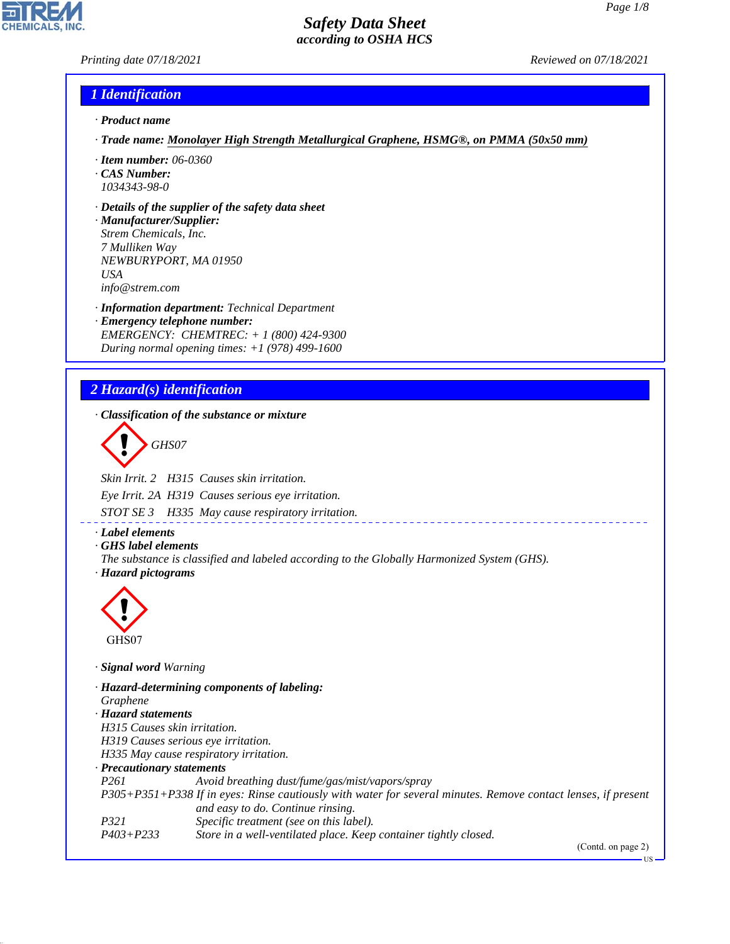### *Printing date 07/18/2021 Reviewed on 07/18/2021*

### *1 Identification*

- *· Product name*
- *· Trade name: Monolayer High Strength Metallurgical Graphene, HSMG®, on PMMA (50x50 mm)*
- *· Item number: 06-0360*
- *· CAS Number: 1034343-98-0*
- *· Details of the supplier of the safety data sheet*

*· Manufacturer/Supplier: Strem Chemicals, Inc. 7 Mulliken Way NEWBURYPORT, MA 01950 USA info@strem.com*

*· Information department: Technical Department · Emergency telephone number: EMERGENCY: CHEMTREC: + 1 (800) 424-9300 During normal opening times: +1 (978) 499-1600*

# *2 Hazard(s) identification*

*· Classification of the substance or mixture*

d~*GHS07*

*Skin Irrit. 2 H315 Causes skin irritation.*

*Eye Irrit. 2A H319 Causes serious eye irritation.*

*STOT SE 3 H335 May cause respiratory irritation.*

*· Label elements*

*· GHS label elements*

*The substance is classified and labeled according to the Globally Harmonized System (GHS). · Hazard pictograms*



44.1.1

*· Signal word Warning*

*· Hazard-determining components of labeling: Graphene · Hazard statements H315 Causes skin irritation. H319 Causes serious eye irritation. H335 May cause respiratory irritation. · Precautionary statements P261 Avoid breathing dust/fume/gas/mist/vapors/spray P305+P351+P338 If in eyes: Rinse cautiously with water for several minutes. Remove contact lenses, if present and easy to do. Continue rinsing. P321 Specific treatment (see on this label). P403+P233 Store in a well-ventilated place. Keep container tightly closed.*

(Contd. on page 2)

US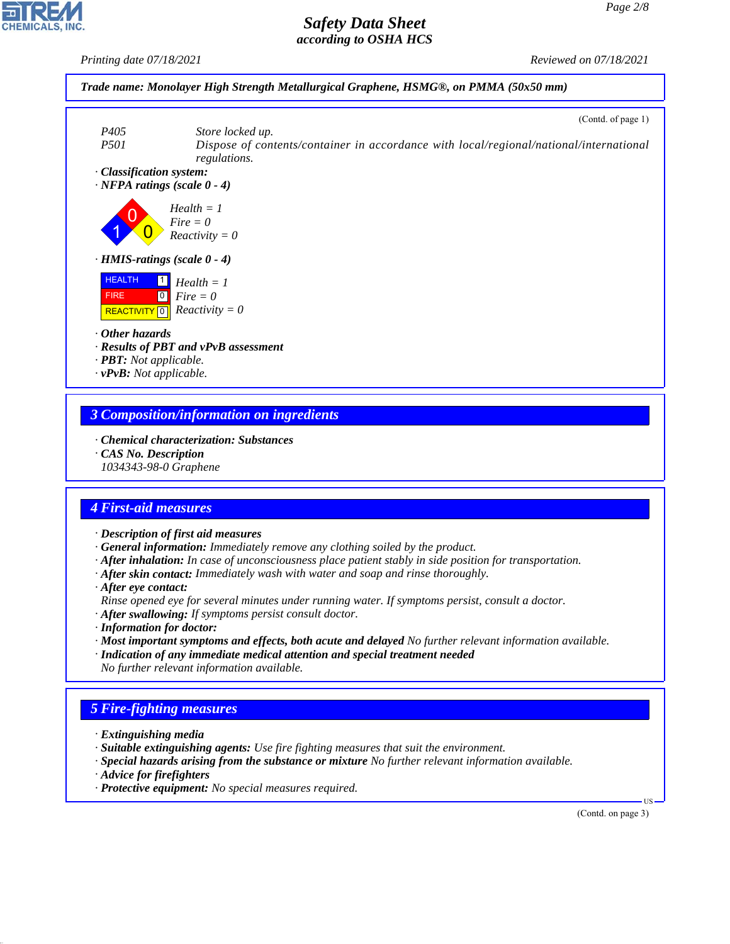

#### *3 Composition/information on ingredients*

- *· Chemical characterization: Substances*
- *· CAS No. Description*
- *1034343-98-0 Graphene*

# *4 First-aid measures*

- *· Description of first aid measures*
- *· General information: Immediately remove any clothing soiled by the product.*
- *· After inhalation: In case of unconsciousness place patient stably in side position for transportation.*
- *· After skin contact: Immediately wash with water and soap and rinse thoroughly.*
- *· After eye contact:*
- *Rinse opened eye for several minutes under running water. If symptoms persist, consult a doctor.*
- *· After swallowing: If symptoms persist consult doctor.*
- *· Information for doctor:*
- *· Most important symptoms and effects, both acute and delayed No further relevant information available.*
- *· Indication of any immediate medical attention and special treatment needed No further relevant information available.*

# *5 Fire-fighting measures*

- *· Extinguishing media*
- *· Suitable extinguishing agents: Use fire fighting measures that suit the environment.*
- *· Special hazards arising from the substance or mixture No further relevant information available.*
- *· Advice for firefighters*

44.1.1

*· Protective equipment: No special measures required.*

(Contd. on page 3)

US

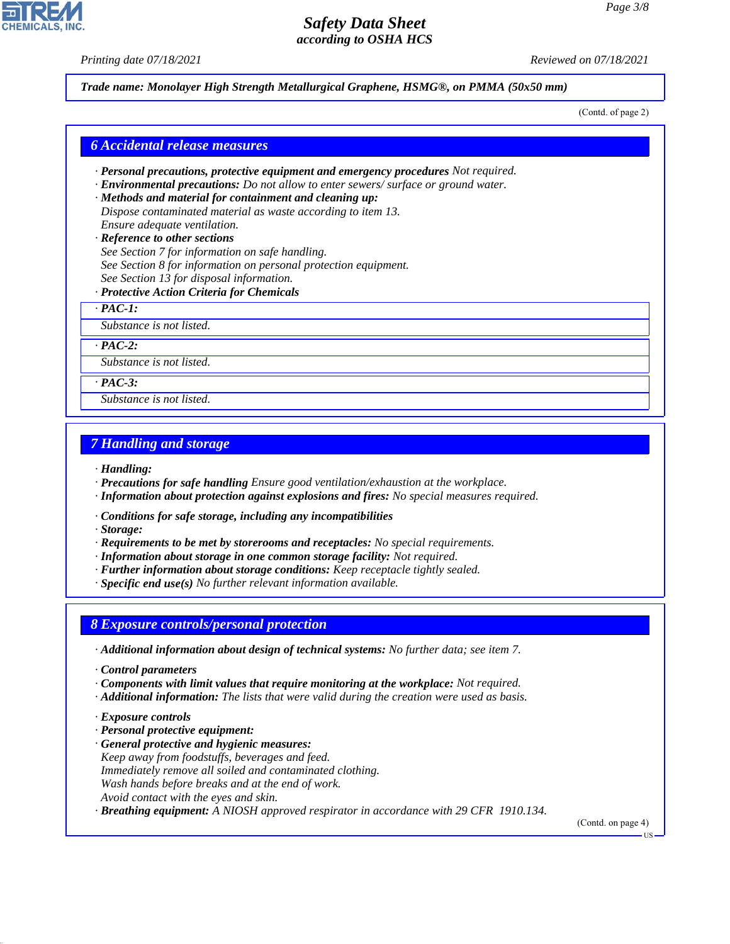*Printing date 07/18/2021 Reviewed on 07/18/2021*

#### *Trade name: Monolayer High Strength Metallurgical Graphene, HSMG®, on PMMA (50x50 mm)*

(Contd. of page 2)

#### *6 Accidental release measures*

- *· Personal precautions, protective equipment and emergency procedures Not required.*
- *· Environmental precautions: Do not allow to enter sewers/ surface or ground water.*
- *· Methods and material for containment and cleaning up: Dispose contaminated material as waste according to item 13. Ensure adequate ventilation.*
- *· Reference to other sections See Section 7 for information on safe handling.*
- *See Section 8 for information on personal protection equipment.*
- *See Section 13 for disposal information.*
- *· Protective Action Criteria for Chemicals*

*· PAC-1:*

*Substance is not listed.*

*· PAC-2:*

*Substance is not listed.*

*· PAC-3:*

*Substance is not listed.*

#### *7 Handling and storage*

*· Handling:*

- *· Precautions for safe handling Ensure good ventilation/exhaustion at the workplace.*
- *· Information about protection against explosions and fires: No special measures required.*
- *· Conditions for safe storage, including any incompatibilities*

*· Storage:*

- *· Requirements to be met by storerooms and receptacles: No special requirements.*
- *· Information about storage in one common storage facility: Not required.*
- *· Further information about storage conditions: Keep receptacle tightly sealed.*
- *· Specific end use(s) No further relevant information available.*

#### *8 Exposure controls/personal protection*

- *· Additional information about design of technical systems: No further data; see item 7.*
- *· Control parameters*
- *· Components with limit values that require monitoring at the workplace: Not required.*
- *· Additional information: The lists that were valid during the creation were used as basis.*
- *· Exposure controls*

44.1.1

- *· Personal protective equipment:*
- *· General protective and hygienic measures: Keep away from foodstuffs, beverages and feed. Immediately remove all soiled and contaminated clothing. Wash hands before breaks and at the end of work. Avoid contact with the eyes and skin.*
- *· Breathing equipment: A NIOSH approved respirator in accordance with 29 CFR 1910.134.*

(Contd. on page 4)



US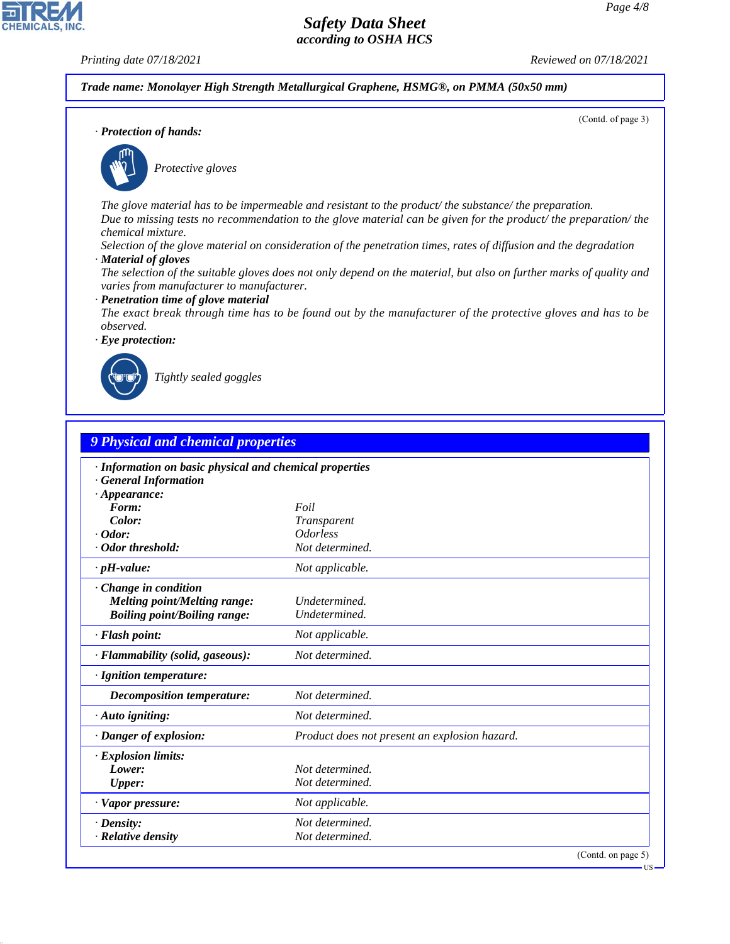(Contd. of page 3)

# *Safety Data Sheet according to OSHA HCS*

**CHEMICALS, INC** 

*Printing date 07/18/2021 Reviewed on 07/18/2021*

*Trade name: Monolayer High Strength Metallurgical Graphene, HSMG®, on PMMA (50x50 mm)*

*· Protection of hands:*



\_S*Protective gloves*

*The glove material has to be impermeable and resistant to the product/ the substance/ the preparation. Due to missing tests no recommendation to the glove material can be given for the product/ the preparation/ the chemical mixture.*

*Selection of the glove material on consideration of the penetration times, rates of diffusion and the degradation*

*· Material of gloves*

*The selection of the suitable gloves does not only depend on the material, but also on further marks of quality and varies from manufacturer to manufacturer.*

*· Penetration time of glove material*

*The exact break through time has to be found out by the manufacturer of the protective gloves and has to be observed.*

*· Eye protection:*



44.1.1

\_R*Tightly sealed goggles*

| · Information on basic physical and chemical properties<br><b>General Information</b>                     |                                               |
|-----------------------------------------------------------------------------------------------------------|-----------------------------------------------|
| $\cdot$ Appearance:                                                                                       |                                               |
| Form:                                                                                                     | Foil                                          |
| Color:                                                                                                    | Transparent                                   |
| $\cdot$ Odor:                                                                                             | <i><u><b>Odorless</b></u></i>                 |
| · Odor threshold:                                                                                         | Not determined.                               |
| $\cdot$ pH-value:                                                                                         | Not applicable.                               |
| $\cdot$ Change in condition<br><b>Melting point/Melting range:</b><br><b>Boiling point/Boiling range:</b> | Undetermined.<br>Undetermined.                |
| · Flash point:                                                                                            | Not applicable.                               |
| · Flammability (solid, gaseous):                                                                          | Not determined.                               |
| · Ignition temperature:                                                                                   |                                               |
| <b>Decomposition temperature:</b>                                                                         | Not determined.                               |
| $\cdot$ Auto igniting:                                                                                    | Not determined.                               |
| · Danger of explosion:                                                                                    | Product does not present an explosion hazard. |
| <b>Explosion limits:</b>                                                                                  |                                               |
| Lower:                                                                                                    | Not determined.                               |
| <b>Upper:</b>                                                                                             | Not determined.                               |
| · Vapor pressure:                                                                                         | Not applicable.                               |
| $\cdot$ Density:                                                                                          | Not determined.                               |
| · Relative density                                                                                        | Not determined.                               |

**US**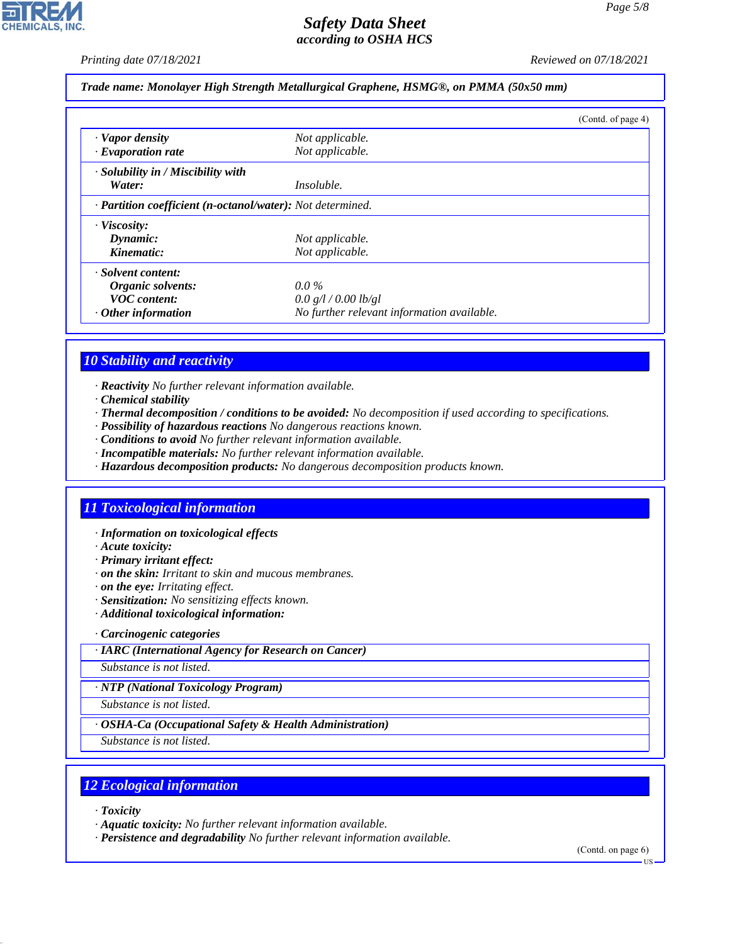*Printing date 07/18/2021 Reviewed on 07/18/2021*

#### *Trade name: Monolayer High Strength Metallurgical Graphene, HSMG®, on PMMA (50x50 mm)*

|                                                            |                                            | (Contd. of page 4) |
|------------------------------------------------------------|--------------------------------------------|--------------------|
| · Vapor density                                            | Not applicable.                            |                    |
| $\cdot$ Evaporation rate                                   | Not applicable.                            |                    |
| $\cdot$ Solubility in / Miscibility with                   |                                            |                    |
| Water:                                                     | <i>Insoluble.</i>                          |                    |
| · Partition coefficient (n-octanol/water): Not determined. |                                            |                    |
| · Viscosity:                                               |                                            |                    |
| Dynamic:                                                   | Not applicable.                            |                    |
| Kinematic:                                                 | Not applicable.                            |                    |
| · Solvent content:                                         |                                            |                    |
| Organic solvents:                                          | $0.0\,\%$                                  |                    |
| <b>VOC</b> content:                                        | 0.0 g/l / 0.00 lb/gl                       |                    |
| $\cdot$ Other information                                  | No further relevant information available. |                    |

### *10 Stability and reactivity*

*· Reactivity No further relevant information available.*

- *· Chemical stability*
- *· Thermal decomposition / conditions to be avoided: No decomposition if used according to specifications.*
- *· Possibility of hazardous reactions No dangerous reactions known.*
- *· Conditions to avoid No further relevant information available.*
- *· Incompatible materials: No further relevant information available.*
- *· Hazardous decomposition products: No dangerous decomposition products known.*

# *11 Toxicological information*

- *· Information on toxicological effects*
- *· Acute toxicity:*
- *· Primary irritant effect:*
- *· on the skin: Irritant to skin and mucous membranes.*
- *· on the eye: Irritating effect.*
- *· Sensitization: No sensitizing effects known.*
- *· Additional toxicological information:*
- *· Carcinogenic categories*
- *· IARC (International Agency for Research on Cancer)*

*Substance is not listed.*

*· NTP (National Toxicology Program)*

*Substance is not listed.*

*· OSHA-Ca (Occupational Safety & Health Administration)*

*Substance is not listed.*

### *12 Ecological information*

*· Toxicity*

44.1.1

- *· Aquatic toxicity: No further relevant information available.*
- *· Persistence and degradability No further relevant information available.*

(Contd. on page 6)

US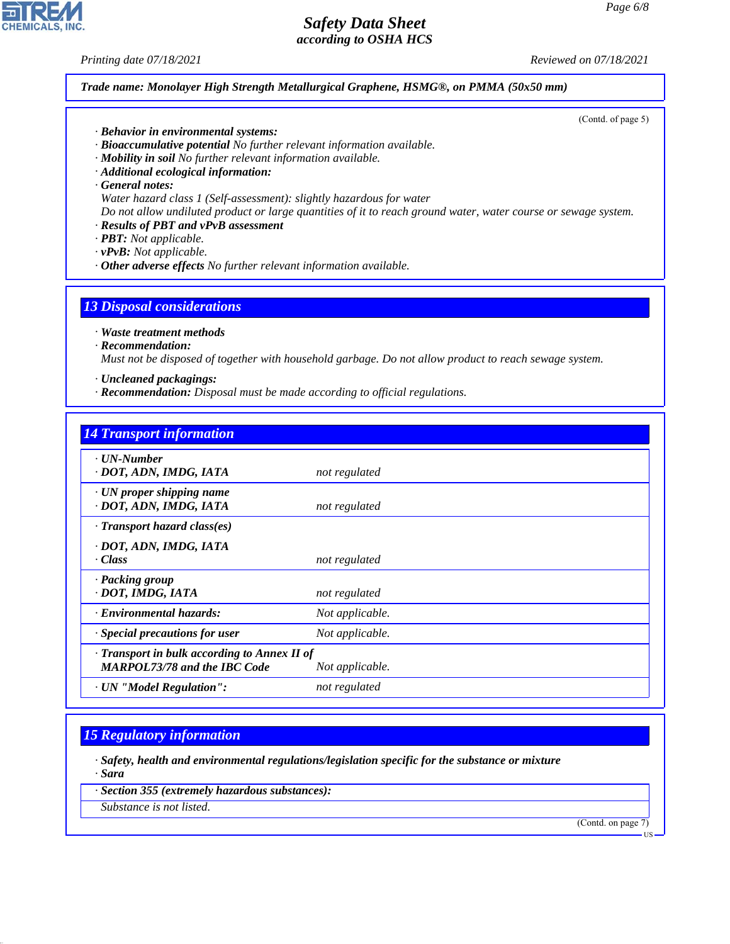*Printing date 07/18/2021 Reviewed on 07/18/2021*

(Contd. of page 5)

*Trade name: Monolayer High Strength Metallurgical Graphene, HSMG®, on PMMA (50x50 mm)*

*· Behavior in environmental systems:*

*· Bioaccumulative potential No further relevant information available.*

*· Mobility in soil No further relevant information available.*

*· Additional ecological information:*

*· General notes:*

*Water hazard class 1 (Self-assessment): slightly hazardous for water*

*Do not allow undiluted product or large quantities of it to reach ground water, water course or sewage system.*

*· Results of PBT and vPvB assessment*

*· PBT: Not applicable.*

*· vPvB: Not applicable.*

*· Other adverse effects No further relevant information available.*

### *13 Disposal considerations*

*· Waste treatment methods*

*· Recommendation:*

*Must not be disposed of together with household garbage. Do not allow product to reach sewage system.*

- *· Uncleaned packagings:*
- *· Recommendation: Disposal must be made according to official regulations.*

| <b>14 Transport information</b>                                                     |                 |
|-------------------------------------------------------------------------------------|-----------------|
| $\cdot$ UN-Number<br>· DOT, ADN, IMDG, IATA                                         | not regulated   |
| $\cdot$ UN proper shipping name<br>· DOT, ADN, IMDG, IATA                           | not regulated   |
| $\cdot$ Transport hazard class(es)                                                  |                 |
| · DOT, ADN, IMDG, IATA<br>· Class                                                   | not regulated   |
| · Packing group<br>· DOT, IMDG, IATA                                                | not regulated   |
| · Environmental hazards:                                                            | Not applicable. |
| $\cdot$ Special precautions for user                                                | Not applicable. |
| · Transport in bulk according to Annex II of<br><b>MARPOL73/78 and the IBC Code</b> | Not applicable. |
| · UN "Model Regulation":                                                            | not regulated   |

# *15 Regulatory information*

*· Safety, health and environmental regulations/legislation specific for the substance or mixture · Sara*

*· Section 355 (extremely hazardous substances):*

*Substance is not listed.*

44.1.1

(Contd. on page 7)



US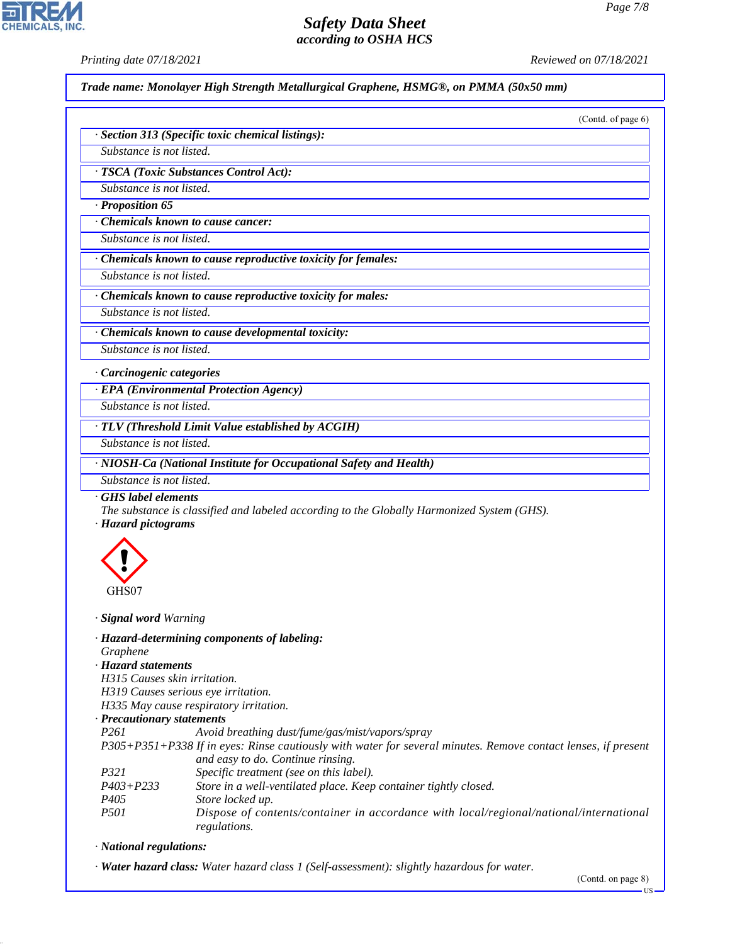CHEMICALS, INC.

*Printing date 07/18/2021 Reviewed on 07/18/2021*

|                                           | (Contd. of page 6)                                                                                            |
|-------------------------------------------|---------------------------------------------------------------------------------------------------------------|
|                                           | · Section 313 (Specific toxic chemical listings):                                                             |
| Substance is not listed.                  |                                                                                                               |
|                                           | · TSCA (Toxic Substances Control Act):                                                                        |
| Substance is not listed.                  |                                                                                                               |
| $\cdot$ Proposition 65                    |                                                                                                               |
|                                           | Chemicals known to cause cancer:                                                                              |
| Substance is not listed.                  |                                                                                                               |
|                                           | · Chemicals known to cause reproductive toxicity for females:                                                 |
| Substance is not listed.                  |                                                                                                               |
|                                           | Chemicals known to cause reproductive toxicity for males:                                                     |
| Substance is not listed.                  |                                                                                                               |
|                                           | Chemicals known to cause developmental toxicity:                                                              |
| Substance is not listed.                  |                                                                                                               |
|                                           |                                                                                                               |
| · Carcinogenic categories                 |                                                                                                               |
|                                           | · EPA (Environmental Protection Agency)                                                                       |
| Substance is not listed.                  |                                                                                                               |
|                                           | · TLV (Threshold Limit Value established by ACGIH)                                                            |
| Substance is not listed.                  |                                                                                                               |
|                                           | · NIOSH-Ca (National Institute for Occupational Safety and Health)                                            |
| Substance is not listed.                  |                                                                                                               |
| GHS label elements<br>· Hazard pictograms | The substance is classified and labeled according to the Globally Harmonized System (GHS).                    |
| GHS07                                     |                                                                                                               |
| · <b>Signal word</b> Warning              |                                                                                                               |
| Graphene                                  | · Hazard-determining components of labeling:                                                                  |
| · Hazard statements                       |                                                                                                               |
| H315 Causes skin irritation.              |                                                                                                               |
|                                           | H319 Causes serious eye irritation.<br>H335 May cause respiratory irritation.                                 |
| · Precautionary statements                |                                                                                                               |
| P261                                      | Avoid breathing dust/fume/gas/mist/vapors/spray                                                               |
|                                           | P305+P351+P338 If in eyes: Rinse cautiously with water for several minutes. Remove contact lenses, if present |
|                                           | and easy to do. Continue rinsing.                                                                             |
| <i>P321</i><br>$P403 + P233$              | Specific treatment (see on this label).<br>Store in a well-ventilated place. Keep container tightly closed.   |
| P405                                      | Store locked up.                                                                                              |
|                                           |                                                                                                               |

*· National regulations:*

44.1.1

*· Water hazard class: Water hazard class 1 (Self-assessment): slightly hazardous for water.*